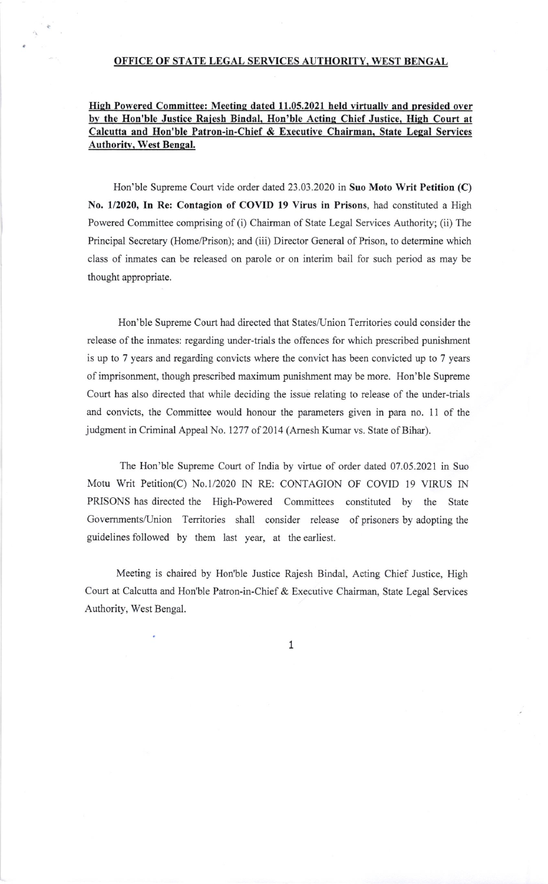## OFFICE OF STATE LEGAL SERVICES AUTHORITY. WEST BENGAL

## High Powered Committee: Meeting dated 11.05.2021 held virtually and presided over by the Hon'ble Justice Rajesh Bindal, Hon'ble Acting Chief Justice, High Court at Calcutta and Hon'ble Patron-in-Chief & Executive Chairman, State Legal Services Authoritv, West Benqal.

Hon'ble Supreme Court vide order dated 23.03.2020 in Suo Moto Writ Petition (C) No, 1/2020, In Re: Contagion of COVID 19 Virus in Prisons, had constituted a High Powered Committee comprising of (i) Chairman of State Legal Services Authority; (ii) The Principal Secretary (Home/Prison); and (iii) Director General of Prison, to determine which class of inmates can be released on parole or on interim bail for such period as may be thought appropriate.

Hon'ble Supreme Court had directed that States/Union Territories could consider the release of the inmates: regarding under-trials the offences for which prescribed punishment is up to 7 years and regarding convicts where the convict has been convicted up to 7 years of imprisonment, though prescribed maximum punishment may be more. Hon'ble Supreme Court has also directed that while deciding the issue relating to release of the under-trials and convicts, the Committee would honour the parameters given in para no. 11 of the judgment in Criminal Appeal No. 1277 of 2014 (Amesh Kumar vs. State of Bihar).

The Hon'ble Supreme Court of India by virtue of order dated 07.05.2021 in Suo Motu Writ Petition(C) No.l/2020 IN RE: CONTAGION OF COVID 19 VIRUS IN PRISONS has directed the High-Powered Committees constituted by the State Governments/Union Territories shall consider release of prisoners by adopting the guidelines followed by them last year, at the earliest.

Meeting is chaired by Hon'ble Justice Rajesh Bindal, Acting Chief Justice, High Court at Calcutta and Hon'ble Patron-in-Chief & Executive Chairman, State Legal Services Authority, West Bengal.

1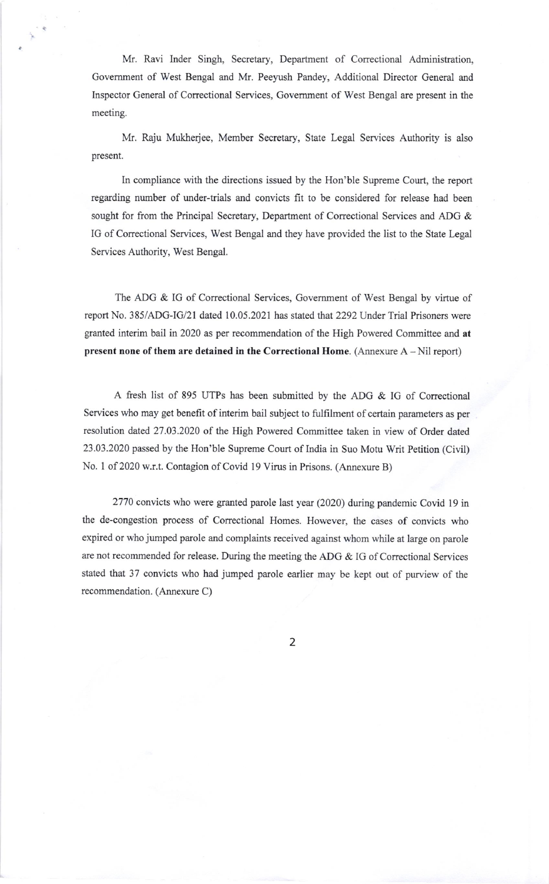Mr. Ravi Inder Singh, Secretary, Department of Correctional Administration, Goverment of West Bengal and Mr. Peeyush Pandey, Additional Director General and Inspector General of Correctional Services, Government of West Bengal are present in the meeting.

Mr. Raju Mukherjee, Member Secretary, State Legal Services Authority is also present.

In compliance with the directions issued by the Hon'ble Supreme Court, the report regarding number of under-trials and convicts fit to be considered for release had been sought for from the Principal Secretary, Department of Correctional Services and ADG & IG of Correctional Services, West Bengal and they have provided the list to the State Legal Services Authority, West Bengal.

The ADG & IG of Correctional Services, Government of West Bengal by virtue of report No. 385/ADG-IG/21 dated 10.05.2021 has stated that 2292 Under Trial Prisoners were granted interim bail in 2020 as per recommendation of the High Powered Committee and at present none of them are detained in the Correctional Home. (Annexure A - Nil report)

A fresh list of 895 UTPs has been submitted by the ADG & IG of Conectional Services who may get benefit of interim bail subject to fulfilment of certain parameters as per resolution dated 27.03.2020 of the High Powered Committee taken in view of Order dated 23.03.2020 passed by the Hon'ble Supreme Court of India in Suo Motu Writ Petition (Civil) No. 1 of 2020 w.r.t. Contagion of Covid 19 Virus in Prisons. (Annexure B)

2770 convicts who were granted parole last year (2020) during pandemic Covid 19 in the de-congestion process of Correctional Homes. However, the cases of convicts who expired or who jumped parole and complaints received against whom while at large on parole are not recommended for release. During the meeting the ADG & IG of Correctional Services stated that 37 convicts who had jumped parole earlier may be kept out of purview of the recommendation. (Annexure C)

2